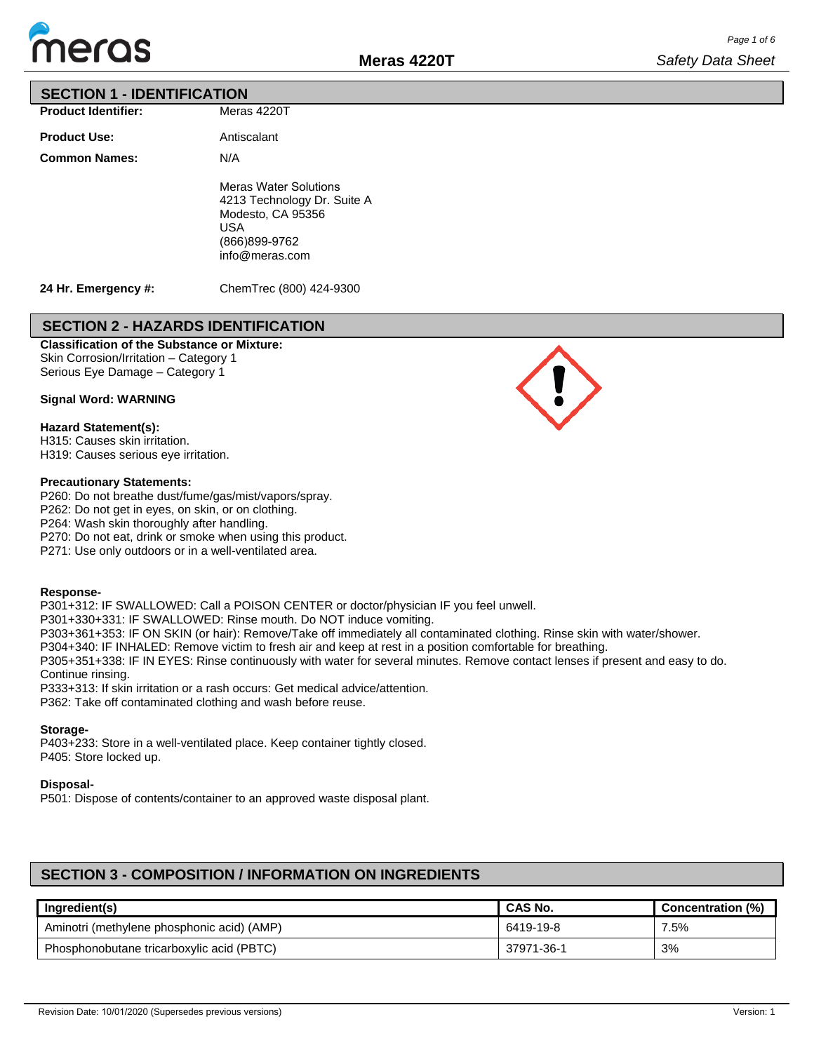

### **SECTION 1 - IDENTIFICATION**

| <b>Product Identifier:</b> | Meras 4220T                                                                                                                |
|----------------------------|----------------------------------------------------------------------------------------------------------------------------|
| <b>Product Use:</b>        | Antiscalant                                                                                                                |
| <b>Common Names:</b>       | N/A                                                                                                                        |
|                            | <b>Meras Water Solutions</b><br>4213 Technology Dr. Suite A<br>Modesto, CA 95356<br>USA<br>(866)899-9762<br>info@meras.com |

**24 Hr. Emergency #:**

ChemTrec (800) 424-9300

### **SECTION 2 - HAZARDS IDENTIFICATION**

### **Classification of the Substance or Mixture:** Skin Corrosion/Irritation – Category 1

Serious Eye Damage – Category 1

#### **Signal Word: WARNING**

#### **Hazard Statement(s):**

H315: Causes skin irritation. H319: Causes serious eye irritation.

#### **Precautionary Statements:**

P260: Do not breathe dust/fume/gas/mist/vapors/spray.

P262: Do not get in eyes, on skin, or on clothing.

P264: Wash skin thoroughly after handling.

P270: Do not eat, drink or smoke when using this product.

P271: Use only outdoors or in a well-ventilated area.

#### **Response-**

P301+312: IF SWALLOWED: Call a POISON CENTER or doctor/physician IF you feel unwell. P301+330+331: IF SWALLOWED: Rinse mouth. Do NOT induce vomiting. P303+361+353: IF ON SKIN (or hair): Remove/Take off immediately all contaminated clothing. Rinse skin with water/shower. P304+340: IF INHALED: Remove victim to fresh air and keep at rest in a position comfortable for breathing. P305+351+338: IF IN EYES: Rinse continuously with water for several minutes. Remove contact lenses if present and easy to do. Continue rinsing. P333+313: If skin irritation or a rash occurs: Get medical advice/attention. P362: Take off contaminated clothing and wash before reuse.

#### **Storage-**

P403+233: Store in a well-ventilated place. Keep container tightly closed. P405: Store locked up.

#### **Disposal-**

P501: Dispose of contents/container to an approved waste disposal plant.

## **SECTION 3 - COMPOSITION / INFORMATION ON INGREDIENTS**

| Ingredient(s)                              | CAS No.    | Concentration (%) |
|--------------------------------------------|------------|-------------------|
| Aminotri (methylene phosphonic acid) (AMP) | 6419-19-8  | 7.5%              |
| Phosphonobutane tricarboxylic acid (PBTC)  | 37971-36-1 | 3%                |

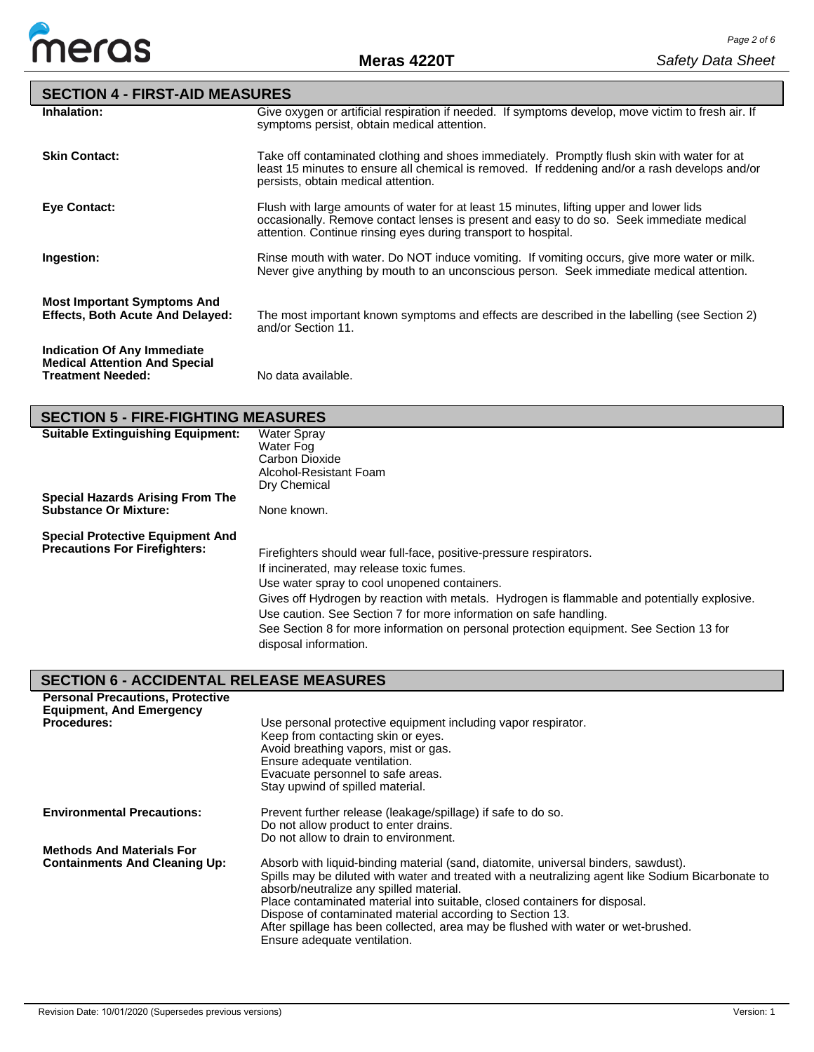

| <b>SECTION 4 - FIRST-AID MEASURES</b>                                         |                                                                                                                                                                                                                                                       |
|-------------------------------------------------------------------------------|-------------------------------------------------------------------------------------------------------------------------------------------------------------------------------------------------------------------------------------------------------|
| Inhalation:                                                                   | Give oxygen or artificial respiration if needed. If symptoms develop, move victim to fresh air. If<br>symptoms persist, obtain medical attention.                                                                                                     |
| <b>Skin Contact:</b>                                                          | Take off contaminated clothing and shoes immediately. Promptly flush skin with water for at<br>least 15 minutes to ensure all chemical is removed. If reddening and/or a rash develops and/or<br>persists, obtain medical attention.                  |
| <b>Eye Contact:</b>                                                           | Flush with large amounts of water for at least 15 minutes, lifting upper and lower lids<br>occasionally. Remove contact lenses is present and easy to do so. Seek immediate medical<br>attention. Continue rinsing eyes during transport to hospital. |
| Ingestion:                                                                    | Rinse mouth with water. Do NOT induce vomiting. If vomiting occurs, give more water or milk.<br>Never give anything by mouth to an unconscious person. Seek immediate medical attention.                                                              |
| <b>Most Important Symptoms And</b><br><b>Effects, Both Acute And Delayed:</b> | The most important known symptoms and effects are described in the labelling (see Section 2)<br>and/or Section 11.                                                                                                                                    |
| Indication Of Any Immediate<br><b>Medical Attention And Special</b>           |                                                                                                                                                                                                                                                       |

**Treatment Needed:** No data available.

| <b>SECTION 5 - FIRE-FIGHTING MEASURES</b>                               |                                                                                                                                                                   |
|-------------------------------------------------------------------------|-------------------------------------------------------------------------------------------------------------------------------------------------------------------|
| <b>Suitable Extinguishing Equipment:</b>                                | <b>Water Spray</b><br>Water Fog<br>Carbon Dioxide                                                                                                                 |
|                                                                         | Alcohol-Resistant Foam<br>Dry Chemical                                                                                                                            |
| <b>Special Hazards Arising From The</b><br><b>Substance Or Mixture:</b> | None known.                                                                                                                                                       |
| <b>Special Protective Equipment And</b>                                 |                                                                                                                                                                   |
| <b>Precautions For Firefighters:</b>                                    | Firefighters should wear full-face, positive-pressure respirators.                                                                                                |
|                                                                         | If incinerated, may release toxic fumes.                                                                                                                          |
|                                                                         | Use water spray to cool unopened containers.                                                                                                                      |
|                                                                         | Gives off Hydrogen by reaction with metals. Hydrogen is flammable and potentially explosive.<br>Use caution. See Section 7 for more information on safe handling. |
|                                                                         | See Section 8 for more information on personal protection equipment. See Section 13 for<br>disposal information.                                                  |

# **SECTION 6 - ACCIDENTAL RELEASE MEASURES**

| <b>Personal Precautions, Protective</b><br><b>Equipment, And Emergency</b> |                                                                                                                                                                                                                                                                                                                                                                                                                                                                                                    |
|----------------------------------------------------------------------------|----------------------------------------------------------------------------------------------------------------------------------------------------------------------------------------------------------------------------------------------------------------------------------------------------------------------------------------------------------------------------------------------------------------------------------------------------------------------------------------------------|
| <b>Procedures:</b>                                                         | Use personal protective equipment including vapor respirator.<br>Keep from contacting skin or eyes.<br>Avoid breathing vapors, mist or gas.<br>Ensure adequate ventilation.<br>Evacuate personnel to safe areas.<br>Stay upwind of spilled material.                                                                                                                                                                                                                                               |
| <b>Environmental Precautions:</b>                                          | Prevent further release (leakage/spillage) if safe to do so.<br>Do not allow product to enter drains.<br>Do not allow to drain to environment.                                                                                                                                                                                                                                                                                                                                                     |
| <b>Methods And Materials For</b><br><b>Containments And Cleaning Up:</b>   | Absorb with liquid-binding material (sand, diatomite, universal binders, sawdust).<br>Spills may be diluted with water and treated with a neutralizing agent like Sodium Bicarbonate to<br>absorb/neutralize any spilled material.<br>Place contaminated material into suitable, closed containers for disposal.<br>Dispose of contaminated material according to Section 13.<br>After spillage has been collected, area may be flushed with water or wet-brushed.<br>Ensure adequate ventilation. |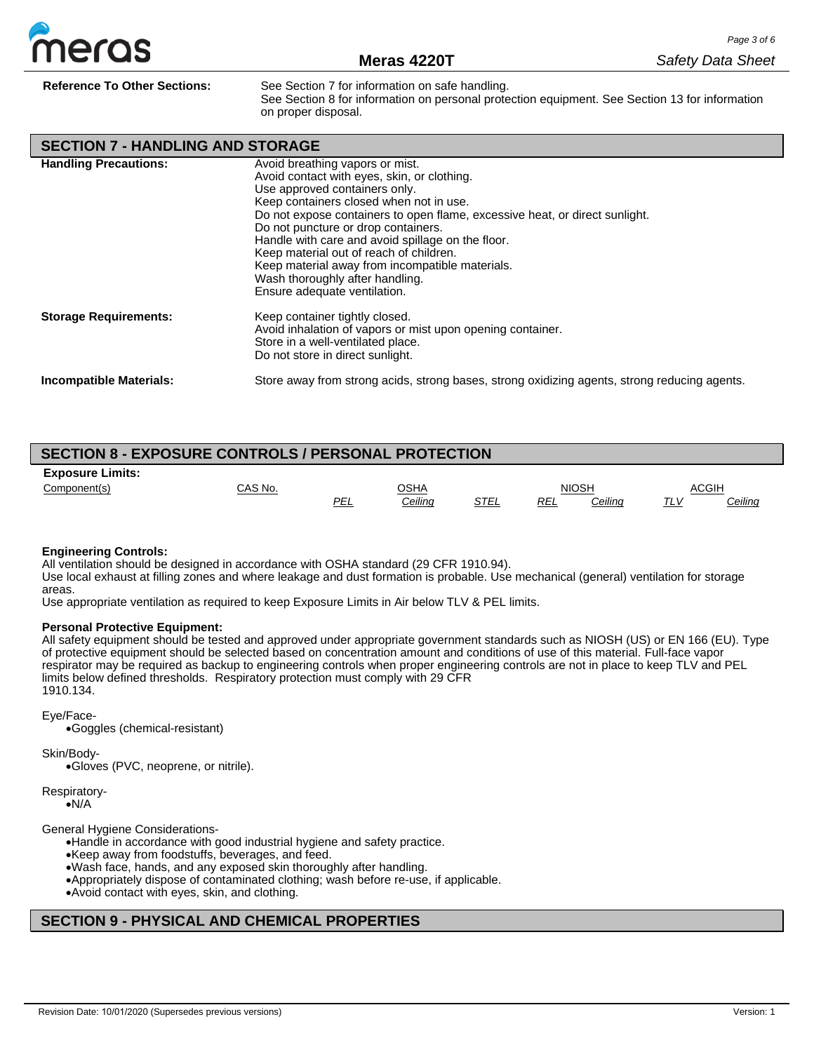

**Reference To Other Sections:** See Section 7 for information on safe handling. See Section 8 for information on personal protection equipment. See Section 13 for information on proper disposal.

**SECTION 7 - HANDLING AND STORAGE**

| <b>Handling Precautions:</b>   | Avoid breathing vapors or mist.<br>Avoid contact with eyes, skin, or clothing.<br>Use approved containers only.<br>Keep containers closed when not in use.<br>Do not expose containers to open flame, excessive heat, or direct sunlight.<br>Do not puncture or drop containers.<br>Handle with care and avoid spillage on the floor.<br>Keep material out of reach of children.<br>Keep material away from incompatible materials.<br>Wash thoroughly after handling.<br>Ensure adequate ventilation. |
|--------------------------------|--------------------------------------------------------------------------------------------------------------------------------------------------------------------------------------------------------------------------------------------------------------------------------------------------------------------------------------------------------------------------------------------------------------------------------------------------------------------------------------------------------|
| <b>Storage Requirements:</b>   | Keep container tightly closed.<br>Avoid inhalation of vapors or mist upon opening container.<br>Store in a well-ventilated place.<br>Do not store in direct sunlight.                                                                                                                                                                                                                                                                                                                                  |
| <b>Incompatible Materials:</b> | Store away from strong acids, strong bases, strong oxidizing agents, strong reducing agents.                                                                                                                                                                                                                                                                                                                                                                                                           |

| <b>SECTION 8 - EXPOSURE CONTROLS / PERSONAL PROTECTION</b> |         |            |                |      |     |              |              |         |
|------------------------------------------------------------|---------|------------|----------------|------|-----|--------------|--------------|---------|
| <b>Exposure Limits:</b>                                    |         |            |                |      |     |              |              |         |
| Component(s)                                               | CAS No. |            | OSHA           |      |     | <b>NIOSH</b> | <b>ACGIH</b> |         |
|                                                            |         | <u>PEL</u> | <u>Ceiling</u> | STEL | REL | Ceiling      | <u>TLV</u>   | Ceiling |

#### **Engineering Controls:**

All ventilation should be designed in accordance with OSHA standard (29 CFR 1910.94).

Use local exhaust at filling zones and where leakage and dust formation is probable. Use mechanical (general) ventilation for storage areas.

Use appropriate ventilation as required to keep Exposure Limits in Air below TLV & PEL limits.

#### **Personal Protective Equipment:**

All safety equipment should be tested and approved under appropriate government standards such as NIOSH (US) or EN 166 (EU). Type of protective equipment should be selected based on concentration amount and conditions of use of this material. Full-face vapor respirator may be required as backup to engineering controls when proper engineering controls are not in place to keep TLV and PEL limits below defined thresholds. Respiratory protection must comply with 29 CFR 1910.134.

Eye/Face-

•Goggles (chemical-resistant)

Skin/Body-

•Gloves (PVC, neoprene, or nitrile).

Respiratory- •N/A

General Hygiene Considerations-

•Handle in accordance with good industrial hygiene and safety practice.

•Keep away from foodstuffs, beverages, and feed.

•Wash face, hands, and any exposed skin thoroughly after handling.

- •Appropriately dispose of contaminated clothing; wash before re-use, if applicable.
- •Avoid contact with eyes, skin, and clothing.

## **SECTION 9 - PHYSICAL AND CHEMICAL PROPERTIES**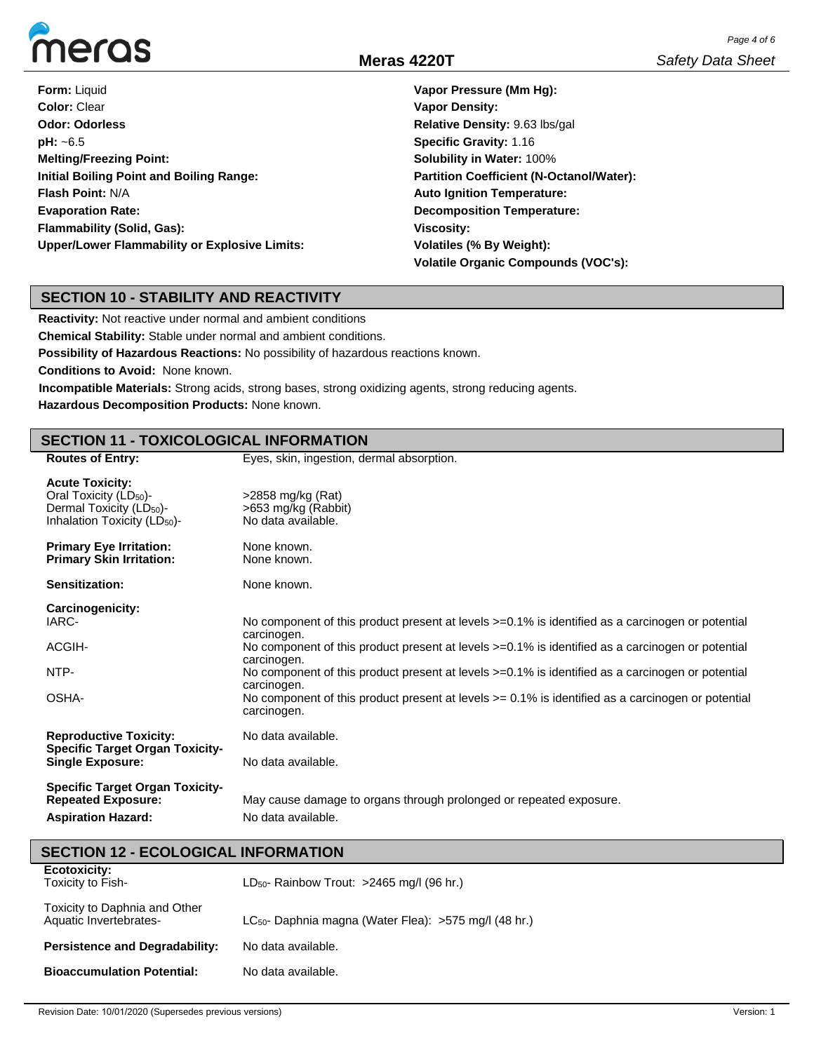

| <b>Form: Liquid</b>                             | Vapor Pressure (Mm Hq):                         |
|-------------------------------------------------|-------------------------------------------------|
| Color: Clear                                    | <b>Vapor Density:</b>                           |
| <b>Odor: Odorless</b>                           | Relative Density: 9.63 lbs/gal                  |
| $pH: -6.5$                                      | <b>Specific Gravity: 1.16</b>                   |
| <b>Melting/Freezing Point:</b>                  | <b>Solubility in Water: 100%</b>                |
| <b>Initial Boiling Point and Boiling Range:</b> | <b>Partition Coefficient (N-Octanol/Water):</b> |
| <b>Flash Point: N/A</b>                         | <b>Auto Ignition Temperature:</b>               |
| <b>Evaporation Rate:</b>                        | <b>Decomposition Temperature:</b>               |
| <b>Flammability (Solid, Gas):</b>               | <b>Viscosity:</b>                               |
| Upper/Lower Flammability or Explosive Limits:   | Volatiles (% By Weight):                        |
|                                                 | Volatile Organic Compounds (VOC's):             |

### **SECTION 10 - STABILITY AND REACTIVITY**

**Reactivity:** Not reactive under normal and ambient conditions

**Chemical Stability:** Stable under normal and ambient conditions.

**Possibility of Hazardous Reactions:** No possibility of hazardous reactions known.

**Conditions to Avoid:** None known.

**Incompatible Materials:** Strong acids, strong bases, strong oxidizing agents, strong reducing agents.

**Hazardous Decomposition Products:** None known.

| <b>SECTION 11 - TOXICOLOGICAL INFORMATION</b>                                                                                                    |                                                                                                                                                                                                                     |  |  |  |  |  |
|--------------------------------------------------------------------------------------------------------------------------------------------------|---------------------------------------------------------------------------------------------------------------------------------------------------------------------------------------------------------------------|--|--|--|--|--|
| <b>Routes of Entry:</b>                                                                                                                          | Eyes, skin, ingestion, dermal absorption.                                                                                                                                                                           |  |  |  |  |  |
| <b>Acute Toxicity:</b><br>Oral Toxicity (LD <sub>50</sub> )-<br>Dermal Toxicity (LD <sub>50</sub> )-<br>Inhalation Toxicity (LD <sub>50</sub> )- | >2858 mg/kg (Rat)<br>>653 mg/kg (Rabbit)<br>No data available.                                                                                                                                                      |  |  |  |  |  |
| <b>Primary Eye Irritation:</b><br><b>Primary Skin Irritation:</b>                                                                                | None known.<br>None known.                                                                                                                                                                                          |  |  |  |  |  |
| Sensitization:                                                                                                                                   | None known.                                                                                                                                                                                                         |  |  |  |  |  |
| Carcinogenicity:<br>IARC-<br>ACGIH-                                                                                                              | No component of this product present at levels >=0.1% is identified as a carcinogen or potential<br>carcinogen.<br>No component of this product present at levels >=0.1% is identified as a carcinogen or potential |  |  |  |  |  |
| NTP-                                                                                                                                             | carcinogen.<br>No component of this product present at levels >=0.1% is identified as a carcinogen or potential<br>carcinogen.                                                                                      |  |  |  |  |  |
| OSHA-                                                                                                                                            | No component of this product present at levels $>= 0.1\%$ is identified as a carcinogen or potential<br>carcinogen.                                                                                                 |  |  |  |  |  |
| <b>Reproductive Toxicity:</b><br><b>Specific Target Organ Toxicity-</b>                                                                          | No data available.                                                                                                                                                                                                  |  |  |  |  |  |
| <b>Single Exposure:</b>                                                                                                                          | No data available.                                                                                                                                                                                                  |  |  |  |  |  |
| <b>Specific Target Organ Toxicity-</b><br><b>Repeated Exposure:</b><br><b>Aspiration Hazard:</b>                                                 | May cause damage to organs through prolonged or repeated exposure.<br>No data available.                                                                                                                            |  |  |  |  |  |

| <b>SECTION 12 - ECOLOGICAL INFORMATION</b>              |                                                            |  |  |  |  |
|---------------------------------------------------------|------------------------------------------------------------|--|--|--|--|
| <b>Ecotoxicity:</b><br>Toxicity to Fish-                | LD <sub>50</sub> - Rainbow Trout: >2465 mg/l (96 hr.)      |  |  |  |  |
| Toxicity to Daphnia and Other<br>Aquatic Invertebrates- | $LC_{50}$ - Daphnia magna (Water Flea): >575 mg/l (48 hr.) |  |  |  |  |
| <b>Persistence and Degradability:</b>                   | No data available.                                         |  |  |  |  |
| <b>Bioaccumulation Potential:</b>                       | No data available.                                         |  |  |  |  |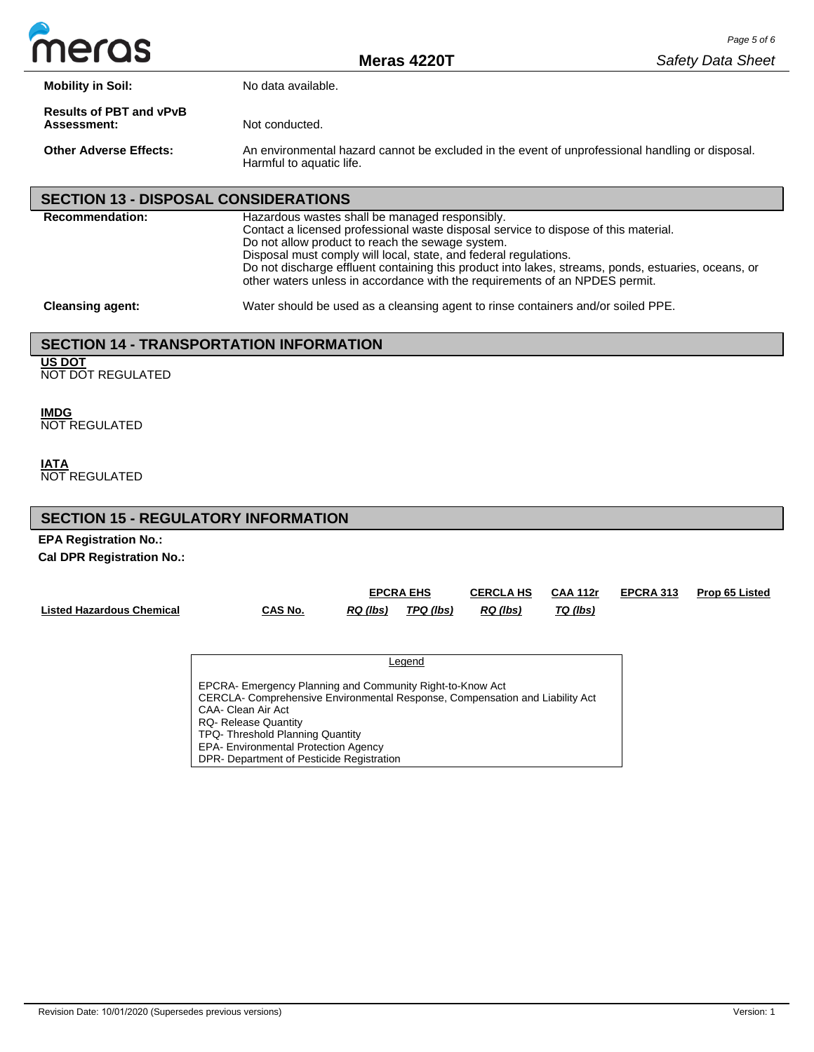

**Mobility in Soil:** No data available.

**Results of PBT and vPvB** 

Not conducted.

**Other Adverse Effects:** An environmental hazard cannot be excluded in the event of unprofessional handling or disposal. Harmful to aquatic life.

# **SECTION 13 - DISPOSAL CONSIDERATIONS**

| <b>Recommendation:</b>  | Hazardous wastes shall be managed responsibly.<br>Contact a licensed professional waste disposal service to dispose of this material.<br>Do not allow product to reach the sewage system.<br>Disposal must comply will local, state, and federal regulations.<br>Do not discharge effluent containing this product into lakes, streams, ponds, estuaries, oceans, or<br>other waters unless in accordance with the requirements of an NPDES permit. |
|-------------------------|-----------------------------------------------------------------------------------------------------------------------------------------------------------------------------------------------------------------------------------------------------------------------------------------------------------------------------------------------------------------------------------------------------------------------------------------------------|
| <b>Cleansing agent:</b> | Water should be used as a cleansing agent to rinse containers and/or soiled PPE.                                                                                                                                                                                                                                                                                                                                                                    |

## **SECTION 14 - TRANSPORTATION INFORMATION**

**US DOT**

NOT DOT REGULATED

**IMDG** NOT REGULATED

**IATA** NOT REGULATED

## **SECTION 15 - REGULATORY INFORMATION**

**EPA Registration No.: Cal DPR Registration No.:**

|                                  |         | <b>EPCRA EHS</b> |           | <b>CERCLA HS</b> | <b>CAA 112r</b> | <b>EPCRA 313</b> | <b>Prop 65 Listed</b> |
|----------------------------------|---------|------------------|-----------|------------------|-----------------|------------------|-----------------------|
| <b>Listed Hazardous Chemical</b> | CAS No. | RQ(lbs)          | TPQ (lbs) | RQ (lbs)         | TQ (lbs)        |                  |                       |

| Leaend                                                                                                                                                                                                                            |
|-----------------------------------------------------------------------------------------------------------------------------------------------------------------------------------------------------------------------------------|
| EPCRA- Emergency Planning and Community Right-to-Know Act<br>CERCLA- Comprehensive Environmental Response, Compensation and Liability Act<br>CAA- Clean Air Act<br><b>RQ- Release Quantity</b><br>TPQ-Threshold Planning Quantity |
| <b>EPA- Environmental Protection Agency</b><br>DPR- Department of Pesticide Registration                                                                                                                                          |